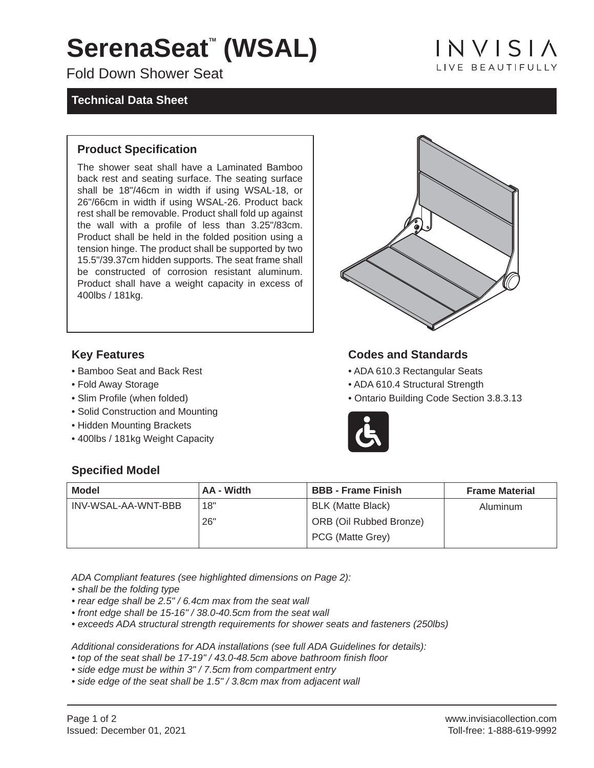# SerenaSeat<sup>®</sup> (WSAL)

Fold Down Shower Seat

### **Technical Data Sheet**

INVISIA **I IVE BEAUTIFULLY** 

#### **Product Specification**

The shower seat shall have a Laminated Bamboo back rest and seating surface. The seating surface shall be 18"/46cm in width if using WSAL-18, or 26"/66cm in width if using WSAL-26. Product back rest shall be removable. Product shall fold up against the wall with a profile of less than 3.25"/83cm. Product shall be held in the folded position using a tension hinge. The product shall be supported by two 15.5"/39.37cm hidden supports. The seat frame shall be constructed of corrosion resistant aluminum. Product shall have a weight capacity in excess of 400lbs / 181kg.

#### **Key Features**

- Bamboo Seat and Back Rest
- Fold Away Storage
- Slim Profile (when folded)
- Solid Construction and Mounting
- Hidden Mounting Brackets
- 400lbs / 181kg Weight Capacity

### **Codes and Standards**

- ADA 610.3 Rectangular Seats
- ADA 610.4 Structural Strength
- Ontario Building Code Section 3.8.3.13



#### **Specified Model**

| <b>Model</b>        | AA - Width | <b>BBB</b> - Frame Finish      | <b>Frame Material</b> |
|---------------------|------------|--------------------------------|-----------------------|
| INV-WSAL-AA-WNT-BBB | 18"        | <b>BLK (Matte Black)</b>       | Aluminum              |
|                     | 26"        | <b>ORB (Oil Rubbed Bronze)</b> |                       |
|                     |            | PCG (Matte Grey)               |                       |

*ADA Compliant features (see highlighted dimensions on Page 2):*

*• shall be the folding type*

- *rear edge shall be 2.5" / 6.4cm max from the seat wall*
- *front edge shall be 15-16" / 38.0-40.5cm from the seat wall*
- *exceeds ADA structural strength requirements for shower seats and fasteners (250lbs)*

*Additional considerations for ADA installations (see full ADA Guidelines for details):*

- *top of the seat shall be 17-19" / 43.0-48.5cm above bathroom finish floor*
- *side edge must be within 3" / 7.5cm from compartment entry*
- *side edge of the seat shall be 1.5" / 3.8cm max from adjacent wall*